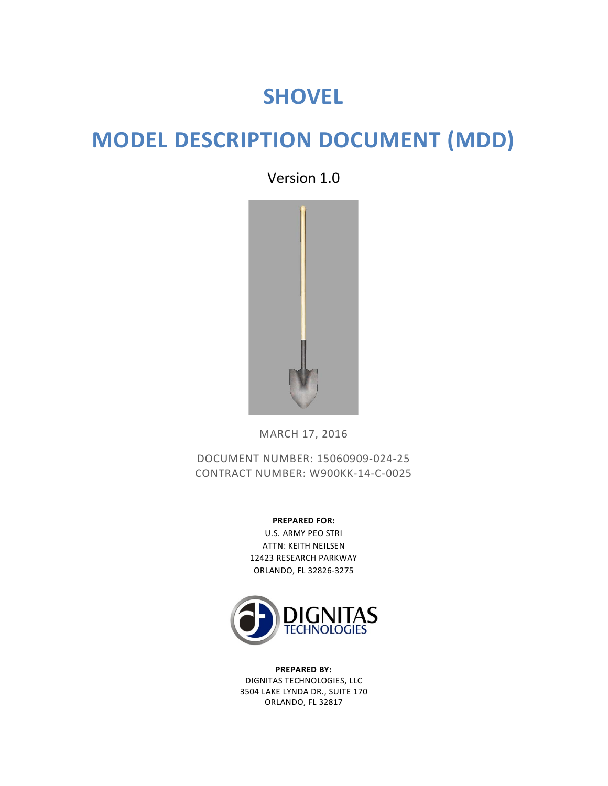# **SHOVEL**

# **MODEL DESCRIPTION DOCUMENT (MDD)**

Version 1.0



MARCH 17, 2016

DOCUMENT NUMBER: 15060909-024-25 CONTRACT NUMBER: W900KK-14-C-0025

> **PREPARED FOR:** U.S. ARMY PEO STRI ATTN: KEITH NEILSEN 12423 RESEARCH PARKWAY ORLANDO, FL 32826-3275



**PREPARED BY:** DIGNITAS TECHNOLOGIES, LLC 3504 LAKE LYNDA DR., SUITE 170 ORLANDO, FL 32817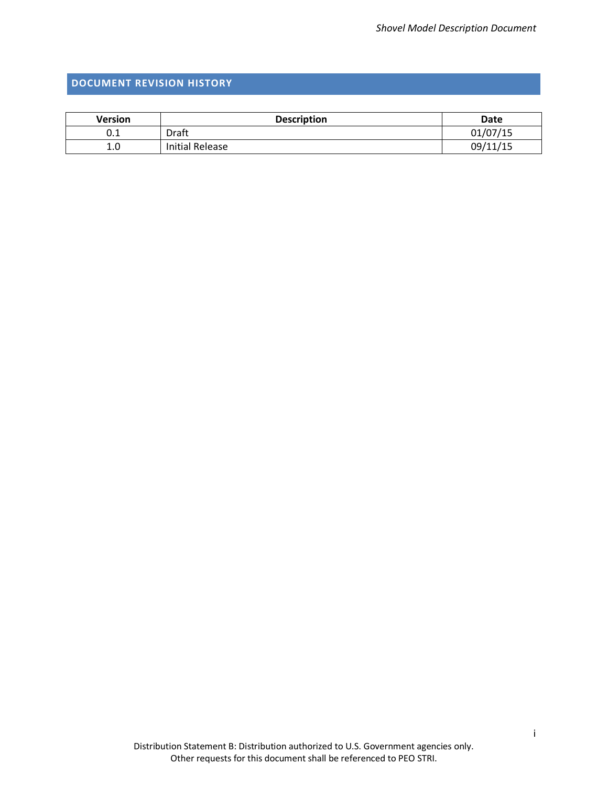## <span id="page-1-0"></span>**DOCUMENT REVISION HISTORY**

| <b>Version</b> | <b>Description</b> | <b>Date</b> |
|----------------|--------------------|-------------|
| U.L            | Draft              | 01/07/15    |
| 1.0            | Initial Release    | 09/11/15    |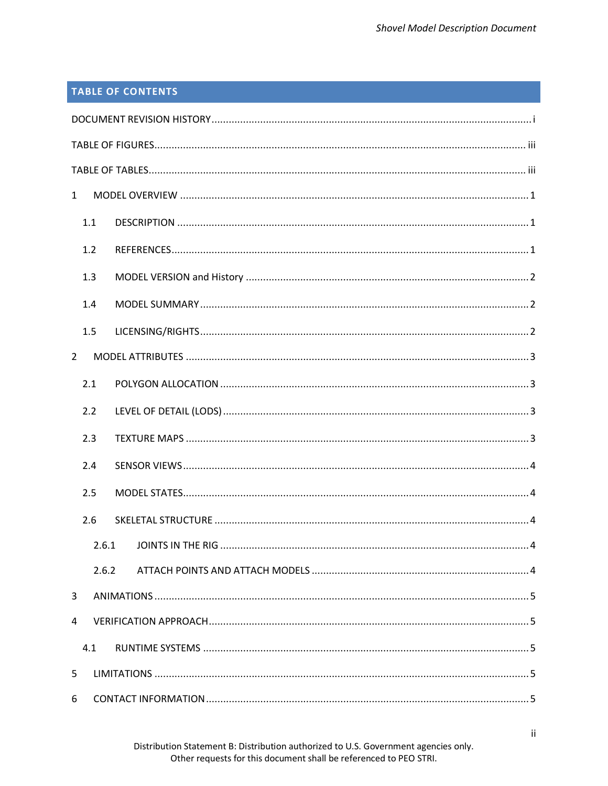# **TABLE OF CONTENTS**

| $\mathbf{1}$   |  |
|----------------|--|
| 1.1            |  |
| 1.2            |  |
| 1.3            |  |
| 1.4            |  |
| 1.5            |  |
| $\overline{2}$ |  |
| 2.1            |  |
| 2.2            |  |
| 2.3            |  |
| 2.4            |  |
| 2.5            |  |
| 2.6            |  |
| 2.6.1          |  |
| 2.6.2          |  |
| 3              |  |
| 4              |  |
| 4.1            |  |
| 5              |  |
| 6              |  |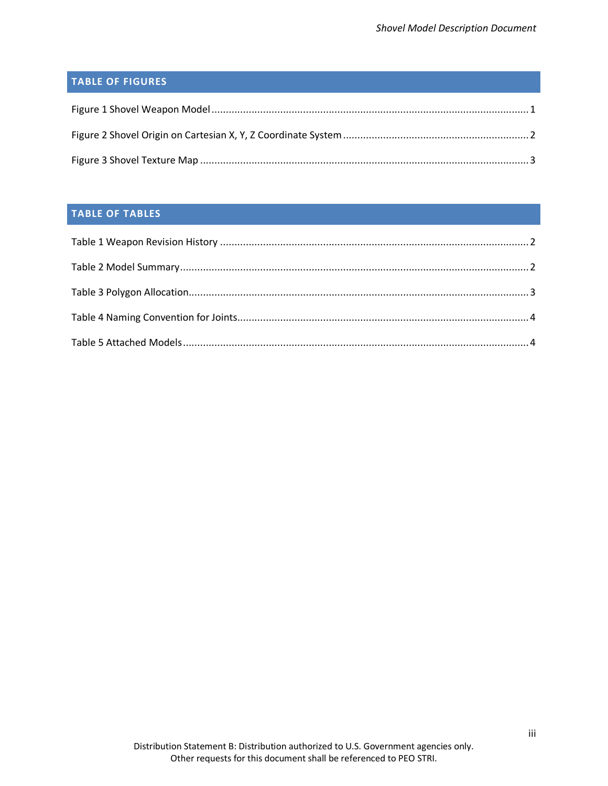# <span id="page-3-0"></span>**TABLE OF FIGURES**

## <span id="page-3-1"></span>**TABLE OF TABLES**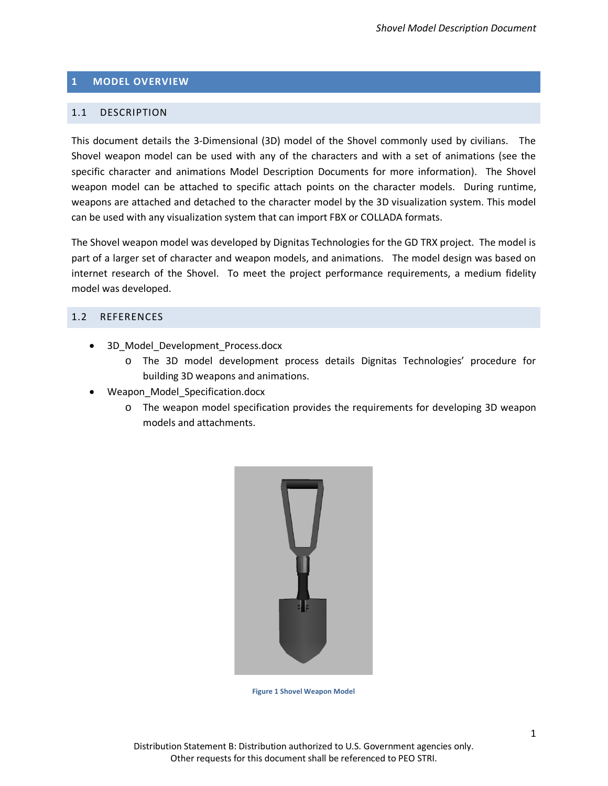## <span id="page-4-0"></span>**1 MODEL OVERVIEW**

### <span id="page-4-1"></span>1.1 DESCRIPTION

This document details the 3-Dimensional (3D) model of the Shovel commonly used by civilians. The Shovel weapon model can be used with any of the characters and with a set of animations (see the specific character and animations Model Description Documents for more information). The Shovel weapon model can be attached to specific attach points on the character models. During runtime, weapons are attached and detached to the character model by the 3D visualization system. This model can be used with any visualization system that can import FBX or COLLADA formats.

The Shovel weapon model was developed by Dignitas Technologies for the GD TRX project. The model is part of a larger set of character and weapon models, and animations. The model design was based on internet research of the Shovel. To meet the project performance requirements, a medium fidelity model was developed.

## <span id="page-4-2"></span>1.2 REFERENCES

- 3D\_Model\_Development\_Process.docx
	- o The 3D model development process details Dignitas Technologies' procedure for building 3D weapons and animations.
- Weapon\_Model\_Specification.docx
	- o The weapon model specification provides the requirements for developing 3D weapon models and attachments.

<span id="page-4-3"></span>

**Figure 1 Shovel Weapon Model**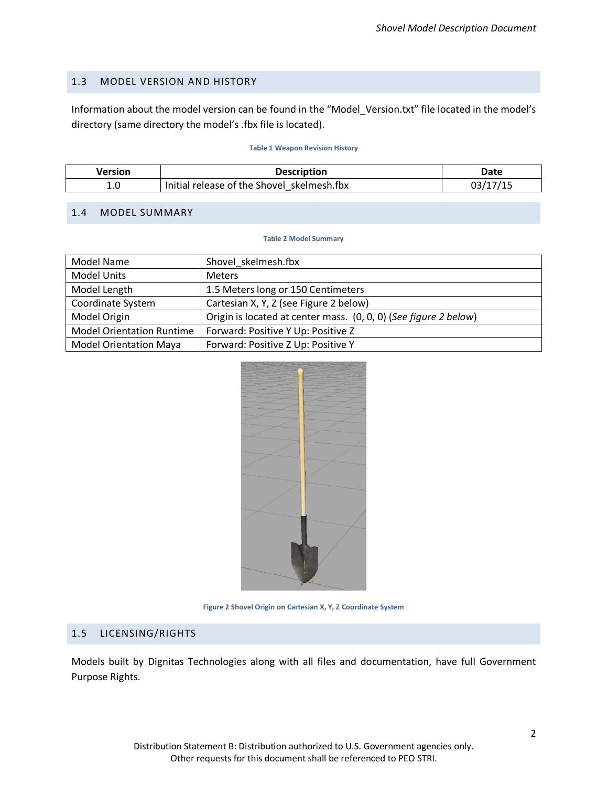## <span id="page-5-0"></span>1.3 MODEL VERSION AND HISTORY

Information about the model version can be found in the "Model\_Version.txt" file located in the model's directory (same directory the model's .fbx file is located).

#### **Table 1 Weapon Revision History**

<span id="page-5-4"></span>

| Version | <b>Description</b>                         | Date |
|---------|--------------------------------------------|------|
| 1.0     | Initial release of the Shovel skelmesh.fbx |      |

## <span id="page-5-5"></span><span id="page-5-1"></span>1.4 MODEL SUMMARY

#### **Table 2 Model Summary**

| Model Name                       | Shovel skelmesh.fbx                                              |
|----------------------------------|------------------------------------------------------------------|
| <b>Model Units</b>               | <b>Meters</b>                                                    |
| Model Length                     | 1.5 Meters long or 150 Centimeters                               |
| Coordinate System                | Cartesian X, Y, Z (see Figure 2 below)                           |
| Model Origin                     | Origin is located at center mass. (0, 0, 0) (See figure 2 below) |
| <b>Model Orientation Runtime</b> | Forward: Positive Y Up: Positive Z                               |
| <b>Model Orientation Maya</b>    | Forward: Positive Z Up: Positive Y                               |



#### **Figure 2 Shovel Origin on Cartesian X, Y, Z Coordinate System**

## <span id="page-5-3"></span><span id="page-5-2"></span>1.5 LICENSING/RIGHTS

Models built by Dignitas Technologies along with all files and documentation, have full Government Purpose Rights.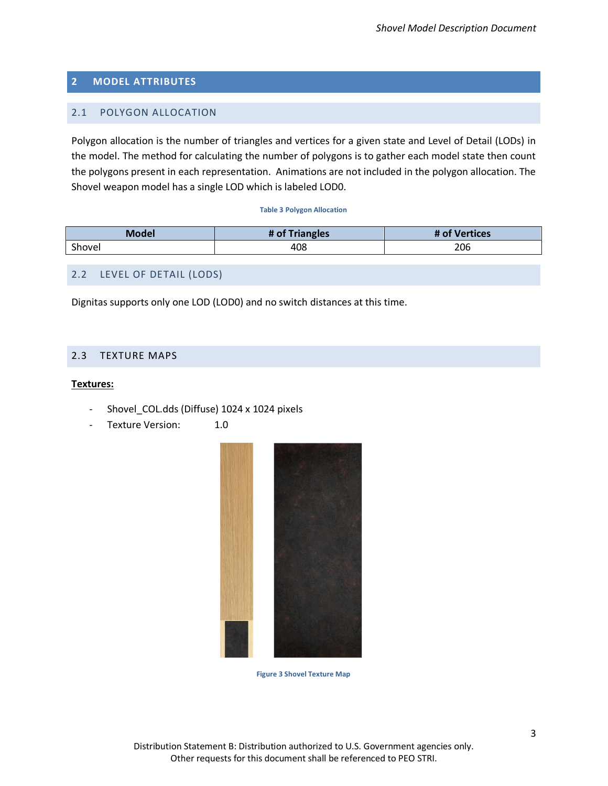## <span id="page-6-0"></span>**2 MODEL ATTRIBUTES**

## <span id="page-6-1"></span>2.1 POLYGON ALLOCATION

Polygon allocation is the number of triangles and vertices for a given state and Level of Detail (LODs) in the model. The method for calculating the number of polygons is to gather each model state then count the polygons present in each representation. Animations are not included in the polygon allocation. The Shovel weapon model has a single LOD which is labeled LOD0.

#### **Table 3 Polygon Allocation**

<span id="page-6-5"></span>

| Model  | # of Triangles | <b>Vertices</b><br>$\bullet$ |
|--------|----------------|------------------------------|
| Shovel | 408            | 206                          |

## <span id="page-6-2"></span>2.2 LEVEL OF DETAIL (LODS)

Dignitas supports only one LOD (LOD0) and no switch distances at this time.

## <span id="page-6-3"></span>2.3 TEXTURE MAPS

#### **Textures:**

- Shovel\_COL.dds (Diffuse) 1024 x 1024 pixels
- <span id="page-6-4"></span>Texture Version: 1.0



**Figure 3 Shovel Texture Map**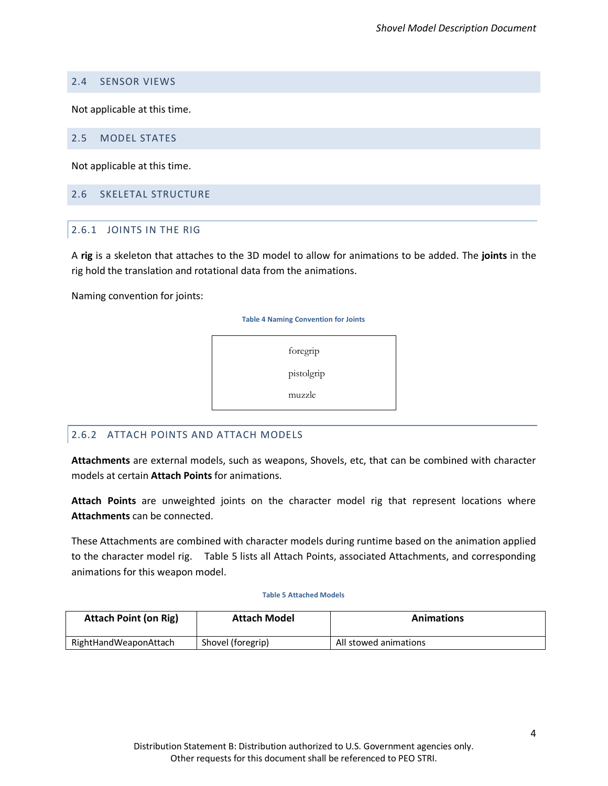## <span id="page-7-0"></span>2.4 SENSOR VIEWS

Not applicable at this time.

## <span id="page-7-1"></span>2.5 MODEL STATES

Not applicable at this time.

## <span id="page-7-3"></span><span id="page-7-2"></span>2.6 SKELETAL STRUCTURE

## 2.6.1 JOINTS IN THE RIG

A **rig** is a skeleton that attaches to the 3D model to allow for animations to be added. The **joints** in the rig hold the translation and rotational data from the animations.

<span id="page-7-6"></span>Naming convention for joints:

**Table 4 Naming Convention for Joints**

foregrip

pistolgrip

muzzle

## <span id="page-7-4"></span>2.6.2 ATTACH POINTS AND ATTACH MODELS

<span id="page-7-7"></span>**Attachments** are external models, such as weapons, Shovels, etc, that can be combined with character models at certain **Attach Points** for animations.

**Attach Points** are unweighted joints on the character model rig that represent locations where **Attachments** can be connected.

These Attachments are combined with character models during runtime based on the animation applied to the character model rig. [Table 5](#page-7-7) lists all Attach Points, associated Attachments, and corresponding animations for this weapon model.

#### **Table 5 Attached Models**

<span id="page-7-5"></span>

| <b>Attach Point (on Rig)</b> | <b>Attach Model</b> | <b>Animations</b>     |
|------------------------------|---------------------|-----------------------|
| RightHandWeaponAttach        | Shovel (foregrip)   | All stowed animations |